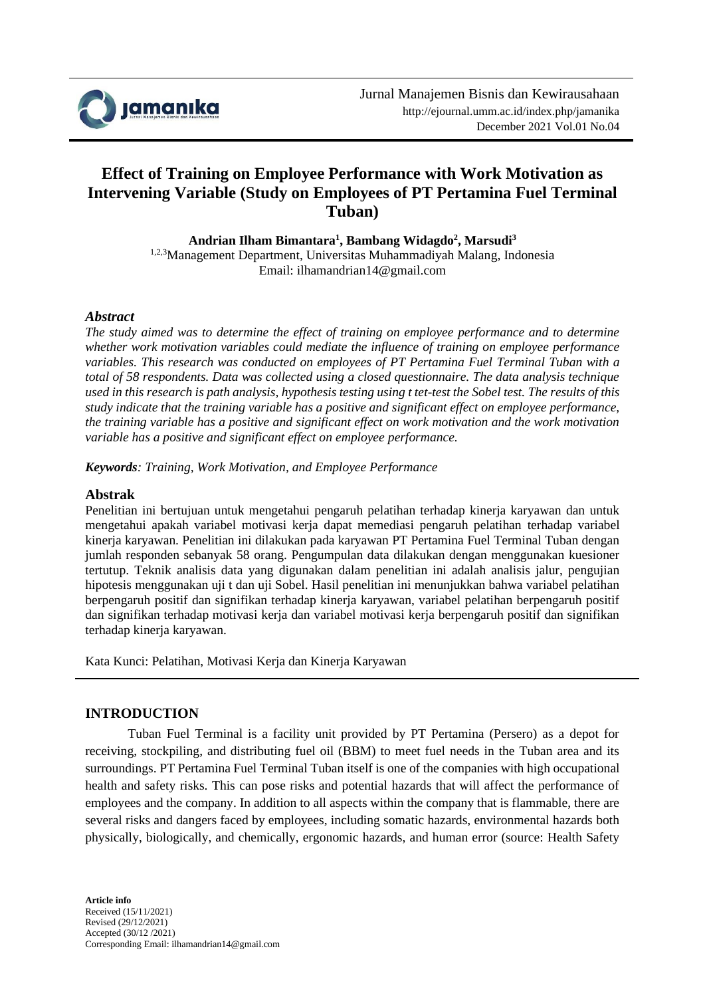

# **Effect of Training on Employee Performance with Work Motivation as Intervening Variable (Study on Employees of PT Pertamina Fuel Terminal Tuban)**

**Andrian Ilham Bimantara<sup>1</sup> , Bambang Widagdo<sup>2</sup> , Marsudi<sup>3</sup>** 1,2,3Management Department, Universitas Muhammadiyah Malang, Indonesia Email: ilhamandrian14@gmail.com

### *Abstract*

*The study aimed was to determine the effect of training on employee performance and to determine whether work motivation variables could mediate the influence of training on employee performance variables. This research was conducted on employees of PT Pertamina Fuel Terminal Tuban with a total of 58 respondents. Data was collected using a closed questionnaire. The data analysis technique used in this research is path analysis, hypothesis testing using t tet-test the Sobel test. The results of this study indicate that the training variable has a positive and significant effect on employee performance, the training variable has a positive and significant effect on work motivation and the work motivation variable has a positive and significant effect on employee performance.*

*Keywords: Training, Work Motivation, and Employee Performance*

### **Abstrak**

Penelitian ini bertujuan untuk mengetahui pengaruh pelatihan terhadap kinerja karyawan dan untuk mengetahui apakah variabel motivasi kerja dapat memediasi pengaruh pelatihan terhadap variabel kinerja karyawan. Penelitian ini dilakukan pada karyawan PT Pertamina Fuel Terminal Tuban dengan jumlah responden sebanyak 58 orang. Pengumpulan data dilakukan dengan menggunakan kuesioner tertutup. Teknik analisis data yang digunakan dalam penelitian ini adalah analisis jalur, pengujian hipotesis menggunakan uji t dan uji Sobel. Hasil penelitian ini menunjukkan bahwa variabel pelatihan berpengaruh positif dan signifikan terhadap kinerja karyawan, variabel pelatihan berpengaruh positif dan signifikan terhadap motivasi kerja dan variabel motivasi kerja berpengaruh positif dan signifikan terhadap kinerja karyawan.

Kata Kunci: Pelatihan, Motivasi Kerja dan Kinerja Karyawan

### **INTRODUCTION**

Tuban Fuel Terminal is a facility unit provided by PT Pertamina (Persero) as a depot for receiving, stockpiling, and distributing fuel oil (BBM) to meet fuel needs in the Tuban area and its surroundings. PT Pertamina Fuel Terminal Tuban itself is one of the companies with high occupational health and safety risks. This can pose risks and potential hazards that will affect the performance of employees and the company. In addition to all aspects within the company that is flammable, there are several risks and dangers faced by employees, including somatic hazards, environmental hazards both physically, biologically, and chemically, ergonomic hazards, and human error (source: Health Safety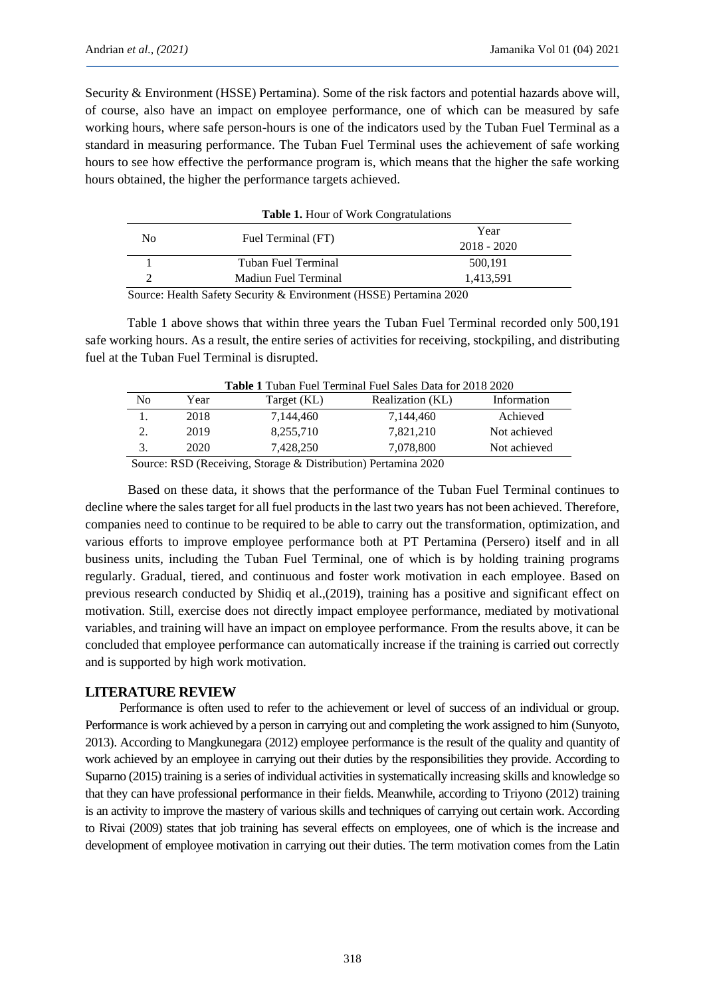Security & Environment (HSSE) Pertamina). Some of the risk factors and potential hazards above will, of course, also have an impact on employee performance, one of which can be measured by safe working hours, where safe person-hours is one of the indicators used by the Tuban Fuel Terminal as a standard in measuring performance. The Tuban Fuel Terminal uses the achievement of safe working hours to see how effective the performance program is, which means that the higher the safe working hours obtained, the higher the performance targets achieved.

| <b>Table 1.</b> Hour of Work Congratulations |                                                                                                                                                                                                                                                                                                                                    |               |  |
|----------------------------------------------|------------------------------------------------------------------------------------------------------------------------------------------------------------------------------------------------------------------------------------------------------------------------------------------------------------------------------------|---------------|--|
|                                              |                                                                                                                                                                                                                                                                                                                                    | Year          |  |
| N <sub>0</sub>                               | Fuel Terminal (FT)                                                                                                                                                                                                                                                                                                                 | $2018 - 2020$ |  |
|                                              | Tuban Fuel Terminal                                                                                                                                                                                                                                                                                                                | 500,191       |  |
| Madiun Fuel Terminal                         |                                                                                                                                                                                                                                                                                                                                    | 1,413,591     |  |
| $\sim$                                       | $\mathbf{r}$ $\mathbf{r}$ $\mathbf{r}$ $\mathbf{r}$ $\mathbf{r}$ $\mathbf{r}$ $\mathbf{r}$ $\mathbf{r}$ $\mathbf{r}$ $\mathbf{r}$ $\mathbf{r}$ $\mathbf{r}$ $\mathbf{r}$ $\mathbf{r}$ $\mathbf{r}$ $\mathbf{r}$ $\mathbf{r}$ $\mathbf{r}$ $\mathbf{r}$ $\mathbf{r}$ $\mathbf{r}$ $\mathbf{r}$ $\mathbf{r}$ $\mathbf{r}$ $\mathbf{$ | $\cdots$      |  |

Source: Health Safety Security & Environment (HSSE) Pertamina 2020

Table 1 above shows that within three years the Tuban Fuel Terminal recorded only 500,191 safe working hours. As a result, the entire series of activities for receiving, stockpiling, and distributing fuel at the Tuban Fuel Terminal is disrupted.

| <b>Table 1</b> Tuban Fuel Terminal Fuel Sales Data for 2018 2020 |      |             |                  |              |  |
|------------------------------------------------------------------|------|-------------|------------------|--------------|--|
| No                                                               | Year | Target (KL) | Realization (KL) | Information  |  |
|                                                                  | 2018 | 7.144.460   | 7.144.460        | Achieved     |  |
|                                                                  | 2019 | 8,255,710   | 7,821,210        | Not achieved |  |
| 3.                                                               | 2020 | 7.428.250   | 7,078,800        | Not achieved |  |

Source: RSD (Receiving, Storage & Distribution) Pertamina 2020

Based on these data, it shows that the performance of the Tuban Fuel Terminal continues to decline where the sales target for all fuel products in the last two years has not been achieved. Therefore, companies need to continue to be required to be able to carry out the transformation, optimization, and various efforts to improve employee performance both at PT Pertamina (Persero) itself and in all business units, including the Tuban Fuel Terminal, one of which is by holding training programs regularly. Gradual, tiered, and continuous and foster work motivation in each employee. Based on previous research conducted by Shidiq et al.,(2019), training has a positive and significant effect on motivation. Still, exercise does not directly impact employee performance, mediated by motivational variables, and training will have an impact on employee performance. From the results above, it can be concluded that employee performance can automatically increase if the training is carried out correctly and is supported by high work motivation.

### **LITERATURE REVIEW**

Performance is often used to refer to the achievement or level of success of an individual or group. Performance is work achieved by a person in carrying out and completing the work assigned to him (Sunyoto, 2013). According to Mangkunegara (2012) employee performance is the result of the quality and quantity of work achieved by an employee in carrying out their duties by the responsibilities they provide. According to Suparno (2015) training is a series of individual activities in systematically increasing skills and knowledge so that they can have professional performance in their fields. Meanwhile, according to Triyono (2012) training is an activity to improve the mastery of various skills and techniques of carrying out certain work. According to Rivai (2009) states that job training has several effects on employees, one of which is the increase and development of employee motivation in carrying out their duties. The term motivation comes from the Latin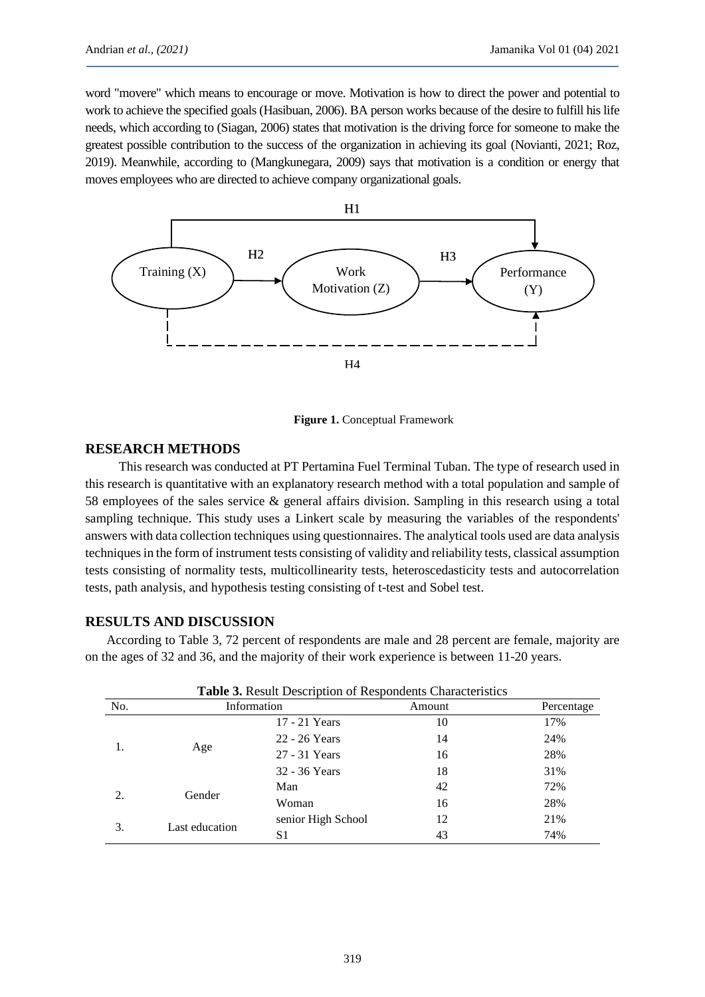word "movere" which means to encourage or move. Motivation is how to direct the power and potential to work to achieve the specified goals (Hasibuan, 2006). BA person works because of the desire to fulfill his life needs, which according to (Siagan, 2006) states that motivation is the driving force for someone to make the greatest possible contribution to the success of the organization in achieving its goal (Novianti, 2021; Roz, 2019). Meanwhile, according to (Mangkunegara, 2009) says that motivation is a condition or energy that moves employees who are directed to achieve company organizational goals.



**Figure 1.** Conceptual Framework

### **RESEARCH METHODS**

This research was conducted at PT Pertamina Fuel Terminal Tuban. The type of research used in this research is quantitative with an explanatory research method with a total population and sample of 58 employees of the sales service & general affairs division. Sampling in this research using a total sampling technique. This study uses a Linkert scale by measuring the variables of the respondents' answers with data collection techniques using questionnaires. The analytical tools used are data analysis techniques in the form of instrument tests consisting of validity and reliability tests, classical assumption tests consisting of normality tests, multicollinearity tests, heteroscedasticity tests and autocorrelation tests, path analysis, and hypothesis testing consisting of t-test and Sobel test.

### **RESULTS AND DISCUSSION**

According to Table 3, 72 percent of respondents are male and 28 percent are female, majority are on the ages of 32 and 36, and the majority of their work experience is between 11-20 years.

|     | <b>Table 3.</b> Result Description of Respondents Characteristics |                    |        |            |  |
|-----|-------------------------------------------------------------------|--------------------|--------|------------|--|
| No. | Information                                                       |                    | Amount | Percentage |  |
|     |                                                                   | 17 - 21 Years      | 10     | 17%        |  |
|     |                                                                   | 22 - 26 Years      | 14     | 24%        |  |
|     | Age                                                               | 27 - 31 Years      | 16     | 28%        |  |
|     |                                                                   | 32 - 36 Years      | 18     | 31%        |  |
|     | Gender                                                            | Man                | 42     | 72%        |  |
|     |                                                                   | Woman              | 16     | 28%        |  |
| 3.  | Last education                                                    | senior High School | 12     | 21%        |  |
|     |                                                                   | S1                 | 43     | 74%        |  |

| Table 3. Result Description of Respondents Characteristics |  |  |
|------------------------------------------------------------|--|--|
|------------------------------------------------------------|--|--|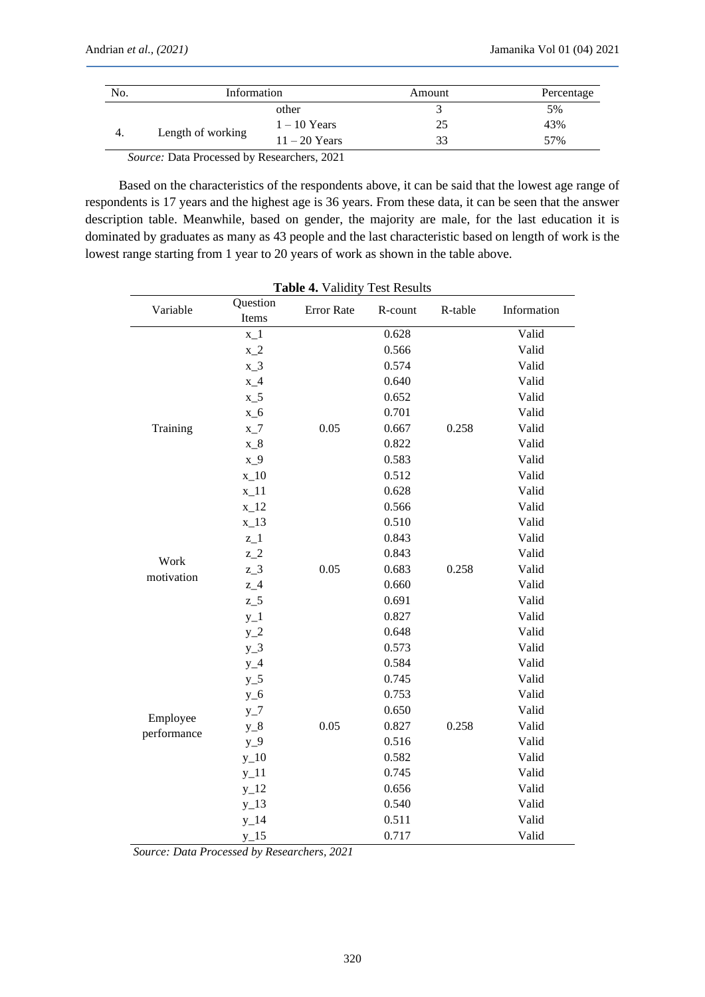| No.                                                | Information       |                 | Amount | Percentage |
|----------------------------------------------------|-------------------|-----------------|--------|------------|
|                                                    |                   | other           |        | 5%         |
|                                                    | Length of working | $1 - 10$ Years  | 25     | 43%        |
|                                                    |                   | $11 - 20$ Years | 33     | 57%        |
| <i>Source:</i> Data Processed by Researchers, 2021 |                   |                 |        |            |

Based on the characteristics of the respondents above, it can be said that the lowest age range of respondents is 17 years and the highest age is 36 years. From these data, it can be seen that the answer description table. Meanwhile, based on gender, the majority are male, for the last education it is dominated by graduates as many as 43 people and the last characteristic based on length of work is the lowest range starting from 1 year to 20 years of work as shown in the table above.

| Table 4. Validity Test Results |                   |            |         |         |             |
|--------------------------------|-------------------|------------|---------|---------|-------------|
| Variable                       | Question<br>Items | Error Rate | R-count | R-table | Information |
|                                | $x_1$             |            | 0.628   |         | Valid       |
|                                | $x_2$             |            | 0.566   |         | Valid       |
|                                | $x_3$             |            | 0.574   |         | Valid       |
|                                | $x_4$             |            | 0.640   |         | Valid       |
|                                | $x_{-5}$          |            | 0.652   |         | Valid       |
|                                | $x_6$             |            | 0.701   |         | Valid       |
| Training                       | $x_7$             | 0.05       | 0.667   | 0.258   | Valid       |
|                                | $x_8$             |            | 0.822   |         | Valid       |
|                                | $x_9$             |            | 0.583   |         | Valid       |
|                                | $x_1$ 10          |            | 0.512   |         | Valid       |
|                                | $x_11$            |            | 0.628   |         | Valid       |
|                                | $x_12$            |            | 0.566   |         | Valid       |
|                                | $x_13$            |            | 0.510   |         | Valid       |
|                                | $z_{-}1$          |            | 0.843   |         | Valid       |
| Work                           | $z_{2}$           |            | 0.843   |         | Valid       |
| motivation                     | $z_{3}$           | 0.05       | 0.683   | 0.258   | Valid       |
|                                | $z_4$             |            | 0.660   |         | Valid       |
|                                | $z_{-}5$          |            | 0.691   |         | Valid       |
|                                | $y_1$             |            | 0.827   |         | Valid       |
|                                | $y_2$             |            | 0.648   |         | Valid       |
|                                | $y_3$             |            | 0.573   |         | Valid       |
|                                | $y_4$             |            | 0.584   |         | Valid       |
|                                | $y_5$             |            | 0.745   |         | Valid       |
|                                | $y_6$             |            | 0.753   |         | Valid       |
| Employee                       | $y_7$             |            | 0.650   |         | Valid       |
| performance                    | $y_8$             | 0.05       | 0.827   | 0.258   | Valid       |
|                                | $y_9$             |            | 0.516   |         | Valid       |
|                                | $y_1$ 10          |            | 0.582   |         | Valid       |
|                                | $y_1$ 11          |            | 0.745   |         | Valid       |
|                                | $y_12$            |            | 0.656   |         | Valid       |
|                                | $y_13$            |            | 0.540   |         | Valid       |
|                                | $y_1$ 14          |            | 0.511   |         | Valid       |
|                                | $y_1$ 15          |            | 0.717   |         | Valid       |

*Source: Data Processed by Researchers, 2021*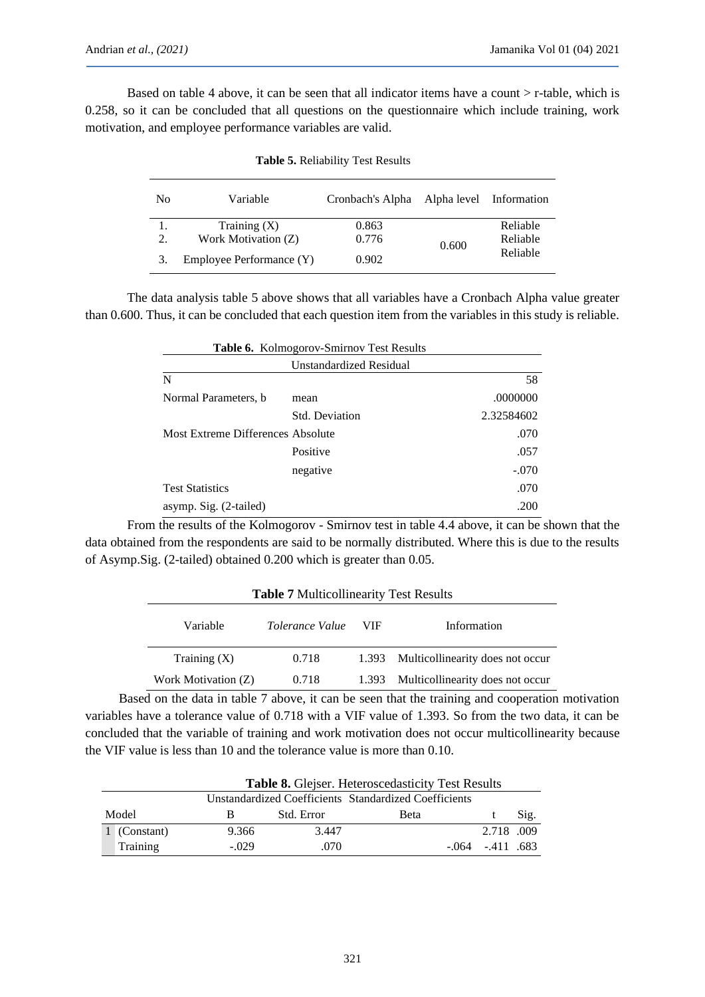Based on table 4 above, it can be seen that all indicator items have a count  $>$  r-table, which is 0.258, so it can be concluded that all questions on the questionnaire which include training, work motivation, and employee performance variables are valid.

| N <sub>0</sub> | Variable                 | Cronbach's Alpha | Alpha level Information |          |
|----------------|--------------------------|------------------|-------------------------|----------|
|                | Training $(X)$           | 0.863            |                         | Reliable |
| 2.             | Work Motivation (Z)      | 0.776            | 0.600                   | Reliable |
| 3.             | Employee Performance (Y) | 0.902            |                         | Reliable |

**Table 5.** Reliability Test Results

The data analysis table 5 above shows that all variables have a Cronbach Alpha value greater than 0.600. Thus, it can be concluded that each question item from the variables in this study is reliable.

|                        | <b>Table 6.</b> Kolmogorov-Smirnov Test Results |            |  |  |
|------------------------|-------------------------------------------------|------------|--|--|
|                        | Unstandardized Residual                         |            |  |  |
| N                      |                                                 | 58         |  |  |
| Normal Parameters, b.  | mean                                            | .0000000   |  |  |
|                        | <b>Std. Deviation</b>                           | 2.32584602 |  |  |
|                        | Most Extreme Differences Absolute               |            |  |  |
|                        | Positive                                        | .057       |  |  |
|                        | negative                                        | $-.070$    |  |  |
| <b>Test Statistics</b> |                                                 | .070       |  |  |
| asymp. Sig. (2-tailed) |                                                 | .200       |  |  |

From the results of the Kolmogorov - Smirnov test in table 4.4 above, it can be shown that the data obtained from the respondents are said to be normally distributed. Where this is due to the results of Asymp.Sig. (2-tailed) obtained 0.200 which is greater than 0.05.

| <b>Table 7 Multicollinearity Test Results</b> |                        |       |                                        |  |
|-----------------------------------------------|------------------------|-------|----------------------------------------|--|
| Variable                                      | <i>Tolerance Value</i> | VIF   | Information                            |  |
| Training $(X)$                                | 0.718                  |       | 1.393 Multicollinearity does not occur |  |
| Work Motivation (Z)                           | 0.718                  | 1.393 | Multicollinearity does not occur       |  |

## Based on the data in table 7 above, it can be seen that the training and cooperation motivation variables have a tolerance value of 0.718 with a VIF value of 1.393. So from the two data, it can be concluded that the variable of training and work motivation does not occur multicollinearity because the VIF value is less than 10 and the tolerance value is more than 0.10.

|                                                       | <b>Table 8.</b> Glejser. Heteroscedasticity Test Results |            |      |                    |      |
|-------------------------------------------------------|----------------------------------------------------------|------------|------|--------------------|------|
| Unstandardized Coefficients Standardized Coefficients |                                                          |            |      |                    |      |
| Model                                                 |                                                          | Std. Error | Beta |                    | Sig. |
| 1 (Constant)                                          | 9.366                                                    | 3.447      |      | 2.718 .009         |      |
| <b>Training</b>                                       | $-.029$                                                  | .070       |      | $-064 - 411 - 683$ |      |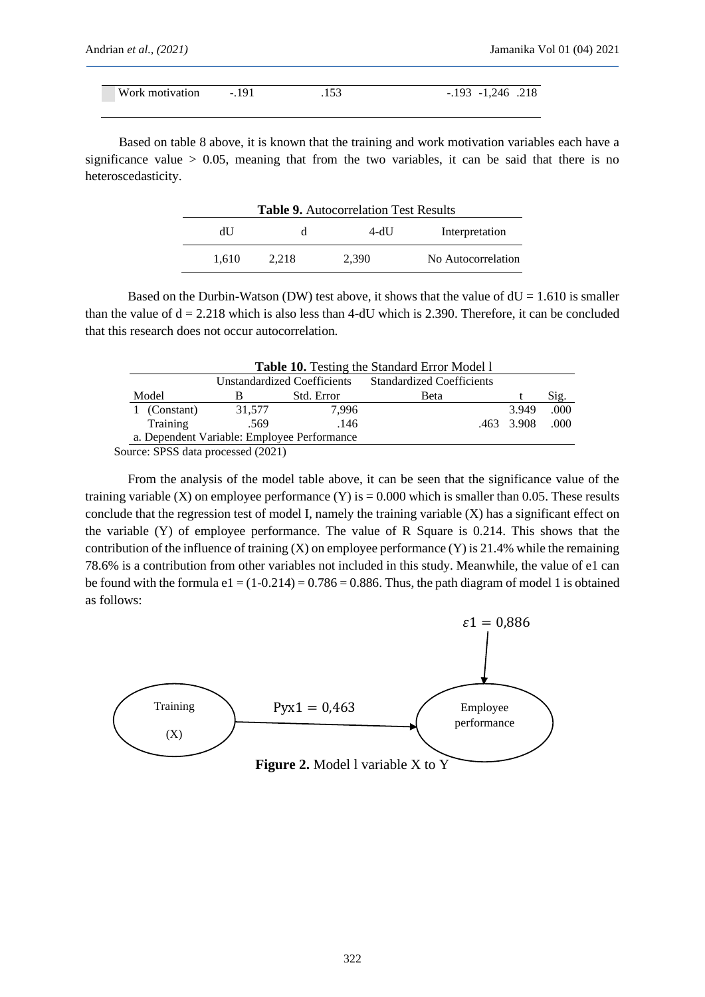| Work motivation -.191 | .153 | $-193$ $-1,246$ $.218$ |
|-----------------------|------|------------------------|
|                       |      |                        |

Based on table 8 above, it is known that the training and work motivation variables each have a significance value  $> 0.05$ , meaning that from the two variables, it can be said that there is no heteroscedasticity.

| <b>Table 9.</b> Autocorrelation Test Results |       |       |                    |  |
|----------------------------------------------|-------|-------|--------------------|--|
| dU                                           |       | 4-dU  | Interpretation     |  |
| 1.610                                        | 2.218 | 2.390 | No Autocorrelation |  |

Based on the Durbin-Watson (DW) test above, it shows that the value of  $dU = 1.610$  is smaller than the value of  $d = 2.218$  which is also less than 4-dU which is 2.390. Therefore, it can be concluded that this research does not occur autocorrelation.

| <b>Table 10.</b> Testing the Standard Error Model 1 |                             |            |                                  |            |       |
|-----------------------------------------------------|-----------------------------|------------|----------------------------------|------------|-------|
|                                                     | Unstandardized Coefficients |            | <b>Standardized Coefficients</b> |            |       |
| Model                                               |                             | Std. Error | <b>Beta</b>                      |            | Sig.  |
| (Constant)                                          | 31,577                      | 7.996      |                                  | 3.949      | .000. |
| Training                                            | .569                        | .146       |                                  | .463 3.908 | .000. |
| a. Dependent Variable: Employee Performance         |                             |            |                                  |            |       |
|                                                     | $\alpha$                    |            |                                  |            |       |

Source: SPSS data processed (2021)

From the analysis of the model table above, it can be seen that the significance value of the training variable (X) on employee performance (Y) is  $= 0.000$  which is smaller than 0.05. These results conclude that the regression test of model I, namely the training variable  $(X)$  has a significant effect on the variable (Y) of employee performance. The value of R Square is 0.214. This shows that the contribution of the influence of training (X) on employee performance (Y) is 21.4% while the remaining 78.6% is a contribution from other variables not included in this study. Meanwhile, the value of e1 can be found with the formula  $e1 = (1-0.214) = 0.786 = 0.886$ . Thus, the path diagram of model 1 is obtained as follows:

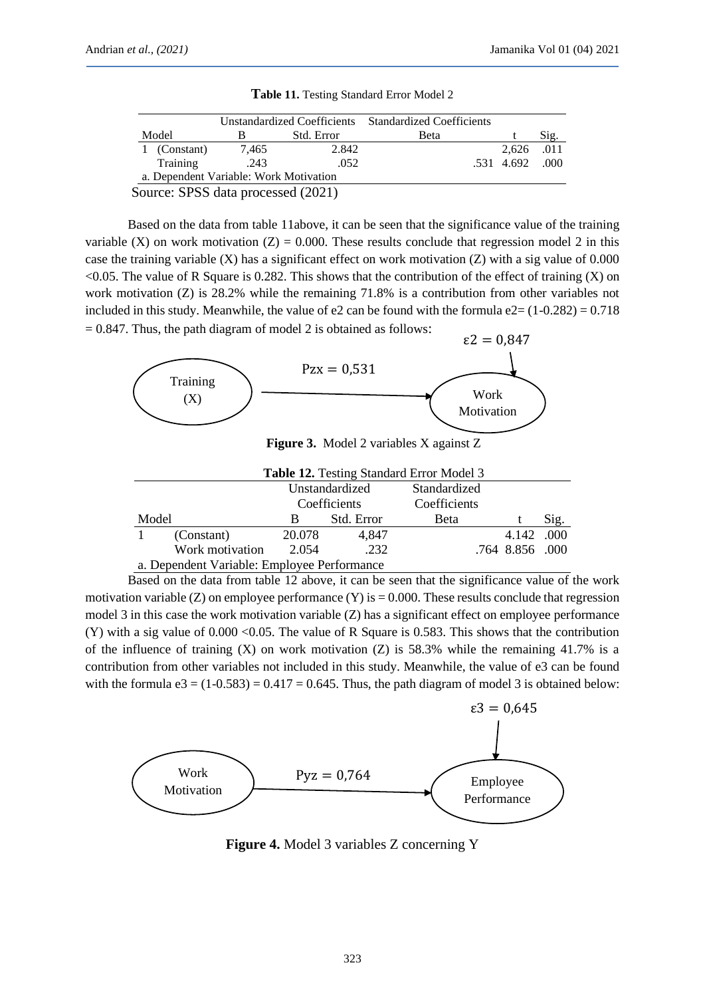|                                            | Unstandardized Coefficients Standardized Coefficients |            |      |                  |      |
|--------------------------------------------|-------------------------------------------------------|------------|------|------------------|------|
| Model                                      |                                                       | Std. Error | Beta |                  | Sig. |
| 1 (Constant)                               | 7.465                                                 | 2.842      |      | 2.626 .011       |      |
| Training                                   | .243                                                  | .052       |      | $.531$ 4.692 000 |      |
| a. Dependent Variable: Work Motivation     |                                                       |            |      |                  |      |
| $\text{Couron}$ CDCC data processed (2021) |                                                       |            |      |                  |      |

**Table 11.** Testing Standard Error Model 2

Source: SPSS data processed (2021)

Based on the data from table 11above, it can be seen that the significance value of the training variable (X) on work motivation (Z) = 0.000. These results conclude that regression model 2 in this case the training variable  $(X)$  has a significant effect on work motivation  $(Z)$  with a sig value of 0.000  $<$ 0.05. The value of R Square is 0.282. This shows that the contribution of the effect of training (X) on work motivation (Z) is 28.2% while the remaining 71.8% is a contribution from other variables not included in this study. Meanwhile, the value of  $e2$  can be found with the formula  $e2 = (1-0.282) = 0.718$  $= 0.847$ . Thus, the path diagram of model 2 is obtained as follows:



**Figure 3.** Model 2 variables X against Z

| <b>Table 12.</b> Testing Standard Error Model 3 |                 |                |            |              |                 |       |
|-------------------------------------------------|-----------------|----------------|------------|--------------|-----------------|-------|
|                                                 |                 | Unstandardized |            | Standardized |                 |       |
|                                                 |                 | Coefficients   |            | Coefficients |                 |       |
| Model                                           |                 | В              | Std. Error | <b>B</b> eta |                 | Sig.  |
|                                                 | (Constant)      | 20.078         | 4.847      |              | 4.142           | .000. |
|                                                 | Work motivation | 2.054          | .232       |              | .764 8.856 .000 |       |
| a. Dependent Variable: Employee Performance     |                 |                |            |              |                 |       |

Based on the data from table 12 above, it can be seen that the significance value of the work motivation variable  $(Z)$  on employee performance  $(Y)$  is  $= 0.000$ . These results conclude that regression model 3 in this case the work motivation variable (Z) has a significant effect on employee performance (Y) with a sig value of 0.000 <0.05. The value of R Square is 0.583. This shows that the contribution of the influence of training  $(X)$  on work motivation  $(Z)$  is 58.3% while the remaining 41.7% is a contribution from other variables not included in this study. Meanwhile, the value of e3 can be found with the formula  $e3 = (1-0.583) = 0.417 = 0.645$ . Thus, the path diagram of model 3 is obtained below:



**Figure 4.** Model 3 variables Z concerning Y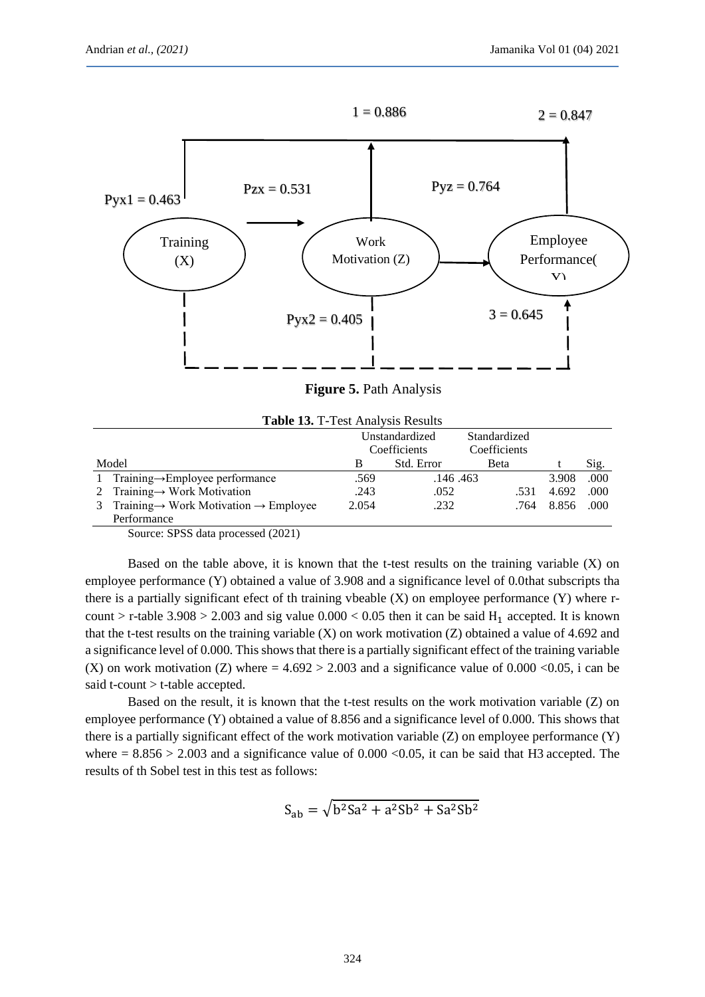

**Figure 5.** Path Analysis

| <b>Table 13. T-Test Analysis Results</b> |                                                                 |                |            |              |       |       |
|------------------------------------------|-----------------------------------------------------------------|----------------|------------|--------------|-------|-------|
|                                          |                                                                 | Unstandardized |            | Standardized |       |       |
|                                          |                                                                 | Coefficients   |            | Coefficients |       |       |
| Model                                    |                                                                 | B              | Std. Error | <b>B</b> eta |       | Sig.  |
|                                          | 1 Training $\rightarrow$ Employee performance                   | .569           | .146.463   |              | 3.908 | .000  |
|                                          | 2 Training $\rightarrow$ Work Motivation                        | .243           | .052       | .531         | 4.692 | .000  |
|                                          | 3 Training $\rightarrow$ Work Motivation $\rightarrow$ Employee | 2.054          | .232       | .764         | 8.856 | .000. |
|                                          | Performance                                                     |                |            |              |       |       |

Source: SPSS data processed (2021)

Based on the table above, it is known that the t-test results on the training variable  $(X)$  on employee performance (Y) obtained a value of 3.908 and a significance level of 0.0that subscripts tha there is a partially significant efect of th training vbeable (X) on employee performance (Y) where rcount > r-table  $3.908 > 2.003$  and sig value  $0.000 < 0.05$  then it can be said H<sub>1</sub> accepted. It is known that the t-test results on the training variable (X) on work motivation (Z) obtained a value of 4.692 and a significance level of 0.000. This shows that there is a partially significant effect of the training variable (X) on work motivation (Z) where  $= 4.692 > 2.003$  and a significance value of 0.000 <0.05, i can be said t-count > t-table accepted.

Based on the result, it is known that the t-test results on the work motivation variable (Z) on employee performance (Y) obtained a value of 8.856 and a significance level of 0.000. This shows that there is a partially significant effect of the work motivation variable  $(Z)$  on employee performance  $(Y)$ where  $= 8.856 > 2.003$  and a significance value of 0.000  $< 0.05$ , it can be said that H3 accepted. The results of th Sobel test in this test as follows:

$$
S_{ab} = \sqrt{b^2 Sa^2 + a^2 Sb^2 + Sa^2 Sb^2}
$$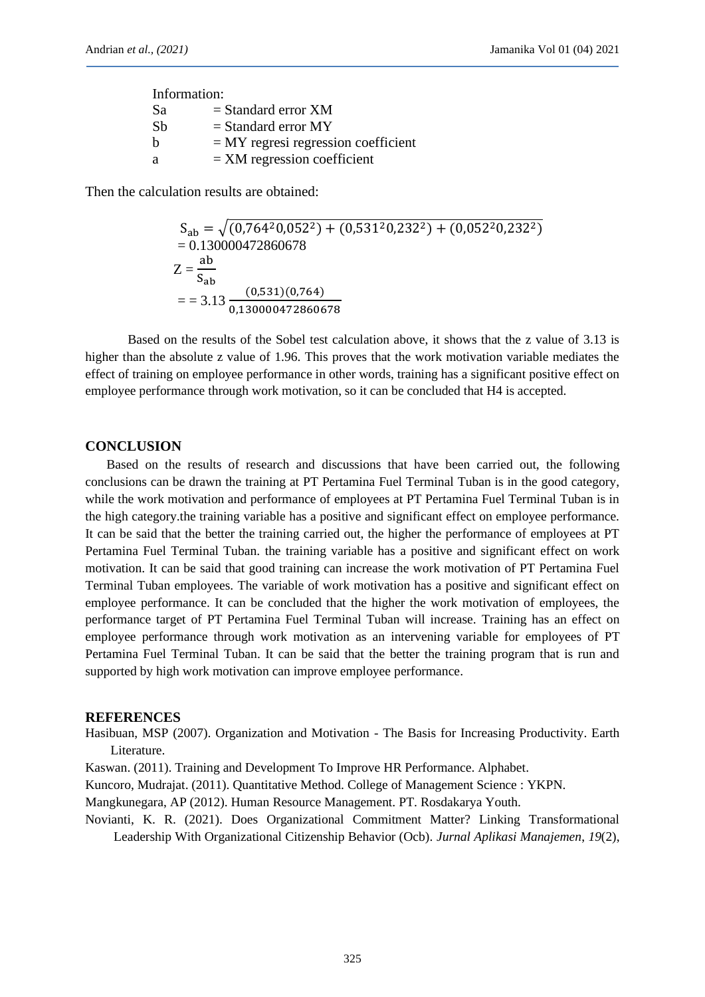| Information: |                                        |  |  |  |
|--------------|----------------------------------------|--|--|--|
| Sa           | $=$ Standard error XM                  |  |  |  |
| Sb           | $=$ Standard error MY                  |  |  |  |
| b            | $=$ MY regressi regression coefficient |  |  |  |
| a            | $=$ XM regression coefficient          |  |  |  |

Then the calculation results are obtained:

$$
S_{ab} = \sqrt{(0,764^2 0,052^2) + (0,531^2 0,232^2) + (0,052^2 0,232^2)}
$$
  
= 0.130000472860678  

$$
Z = \frac{ab}{S_{ab}}
$$
  
= 3.13  $\frac{(0,531)(0,764)}{0,130000472860678}$ 

Based on the results of the Sobel test calculation above, it shows that the z value of 3.13 is higher than the absolute z value of 1.96. This proves that the work motivation variable mediates the effect of training on employee performance in other words, training has a significant positive effect on employee performance through work motivation, so it can be concluded that H4 is accepted.

### **CONCLUSION**

Based on the results of research and discussions that have been carried out, the following conclusions can be drawn the training at PT Pertamina Fuel Terminal Tuban is in the good category, while the work motivation and performance of employees at PT Pertamina Fuel Terminal Tuban is in the high category.the training variable has a positive and significant effect on employee performance. It can be said that the better the training carried out, the higher the performance of employees at PT Pertamina Fuel Terminal Tuban. the training variable has a positive and significant effect on work motivation. It can be said that good training can increase the work motivation of PT Pertamina Fuel Terminal Tuban employees. The variable of work motivation has a positive and significant effect on employee performance. It can be concluded that the higher the work motivation of employees, the performance target of PT Pertamina Fuel Terminal Tuban will increase. Training has an effect on employee performance through work motivation as an intervening variable for employees of PT Pertamina Fuel Terminal Tuban. It can be said that the better the training program that is run and supported by high work motivation can improve employee performance.

#### **REFERENCES**

Hasibuan, MSP (2007). Organization and Motivation - The Basis for Increasing Productivity. Earth Literature.

Kaswan. (2011). Training and Development To Improve HR Performance. Alphabet.

Kuncoro, Mudrajat. (2011). Quantitative Method. College of Management Science : YKPN.

Mangkunegara, AP (2012). Human Resource Management. PT. Rosdakarya Youth.

Novianti, K. R. (2021). Does Organizational Commitment Matter? Linking Transformational Leadership With Organizational Citizenship Behavior (Ocb). *Jurnal Aplikasi Manajemen*, *19*(2),